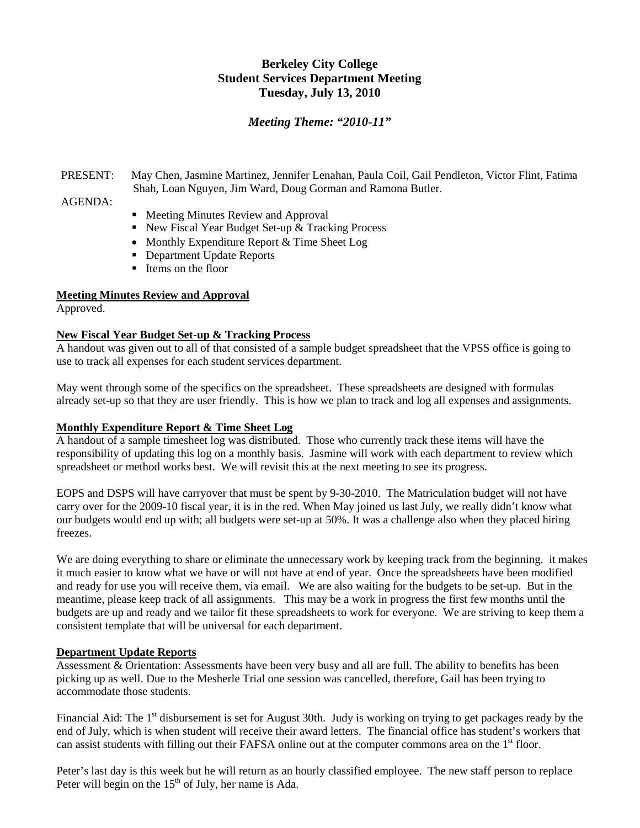# **Berkeley City College Student Services Department Meeting Tuesday, July 13, 2010**

# *Meeting Theme: "2010-11"*

# PRESENT: May Chen, Jasmine Martinez, Jennifer Lenahan, Paula Coil, Gail Pendleton, Victor Flint, Fatima Shah, Loan Nguyen, Jim Ward, Doug Gorman and Ramona Butler.

# AGENDA:

- Meeting Minutes Review and Approval
- New Fiscal Year Budget Set-up & Tracking Process
- Monthly Expenditure Report & Time Sheet Log
- Department Update Reports
- Items on the floor

# **Meeting Minutes Review and Approval**

Approved.

#### **New Fiscal Year Budget Set-up & Tracking Process**

A handout was given out to all of that consisted of a sample budget spreadsheet that the VPSS office is going to use to track all expenses for each student services department.

May went through some of the specifics on the spreadsheet. These spreadsheets are designed with formulas already set-up so that they are user friendly. This is how we plan to track and log all expenses and assignments.

#### **Monthly Expenditure Report & Time Sheet Log**

A handout of a sample timesheet log was distributed. Those who currently track these items will have the responsibility of updating this log on a monthly basis. Jasmine will work with each department to review which spreadsheet or method works best. We will revisit this at the next meeting to see its progress.

EOPS and DSPS will have carryover that must be spent by 9-30-2010. The Matriculation budget will not have carry over for the 2009-10 fiscal year, it is in the red. When May joined us last July, we really didn't know what our budgets would end up with; all budgets were set-up at 50%. It was a challenge also when they placed hiring freezes.

We are doing everything to share or eliminate the unnecessary work by keeping track from the beginning. it makes it much easier to know what we have or will not have at end of year. Once the spreadsheets have been modified and ready for use you will receive them, via email. We are also waiting for the budgets to be set-up. But in the meantime, please keep track of all assignments. This may be a work in progress the first few months until the budgets are up and ready and we tailor fit these spreadsheets to work for everyone. We are striving to keep them a consistent template that will be universal for each department.

#### **Department Update Reports**

Assessment & Orientation: Assessments have been very busy and all are full. The ability to benefits has been picking up as well. Due to the Mesherle Trial one session was cancelled, therefore, Gail has been trying to accommodate those students.

Financial Aid: The 1<sup>st</sup> disbursement is set for August 30th. Judy is working on trying to get packages ready by the end of July, which is when student will receive their award letters. The financial office has student's workers that can assist students with filling out their FAFSA online out at the computer commons area on the 1<sup>st</sup> floor.

Peter's last day is this week but he will return as an hourly classified employee. The new staff person to replace Peter will begin on the  $15<sup>th</sup>$  of July, her name is Ada.